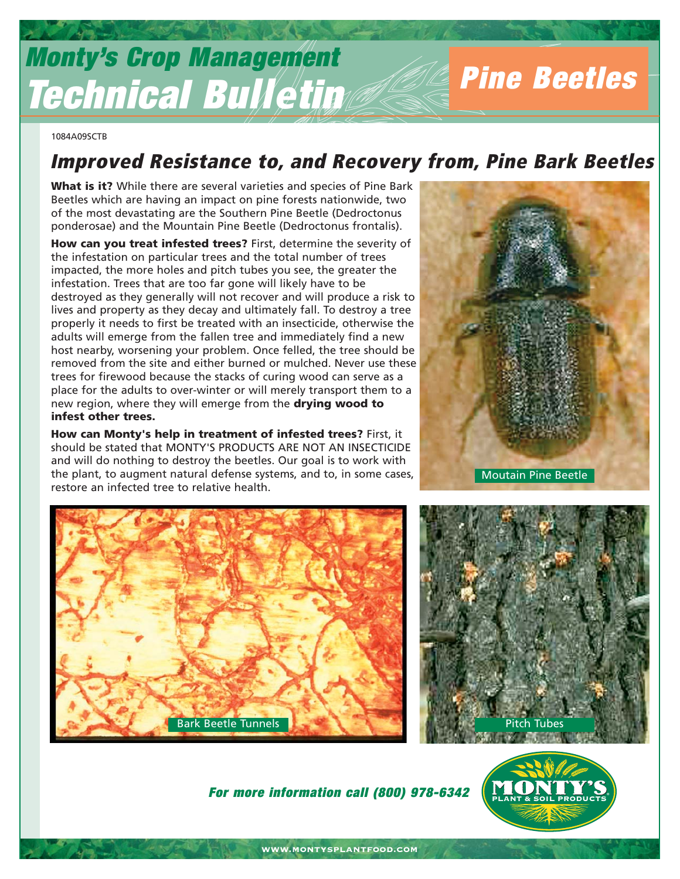# **Monty's Crop Management Technical Bulletin**

1084A09SCTB

# **Improved Resistance to, and Recovery from, Pine Bark Beetles**

**What is it?** While there are several varieties and species of Pine Bark Beetles which are having an impact on pine forests nationwide, two of the most devastating are the Southern Pine Beetle (Dedroctonus ponderosae) and the Mountain Pine Beetle (Dedroctonus frontalis).

**How can you treat infested trees?** First, determine the severity of the infestation on particular trees and the total number of trees impacted, the more holes and pitch tubes you see, the greater the infestation. Trees that are too far gone will likely have to be destroyed as they generally will not recover and will produce a risk to lives and property as they decay and ultimately fall. To destroy a tree properly it needs to first be treated with an insecticide, otherwise the adults will emerge from the fallen tree and immediately find a new host nearby, worsening your problem. Once felled, the tree should be removed from the site and either burned or mulched. Never use these trees for firewood because the stacks of curing wood can serve as a place for the adults to over-winter or will merely transport them to a new region, where they will emerge from the **drying wood to infest other trees.** 

**How can Monty's help in treatment of infested trees?** First, it should be stated that MONTY'S PRODUCTS ARE NOT AN INSECTICIDE and will do nothing to destroy the beetles. Our goal is to work with the plant, to augment natural defense systems, and to, in some cases, restore an infected tree to relative health.



**Pine Beetles**





**For more information call (800) 978-6342**